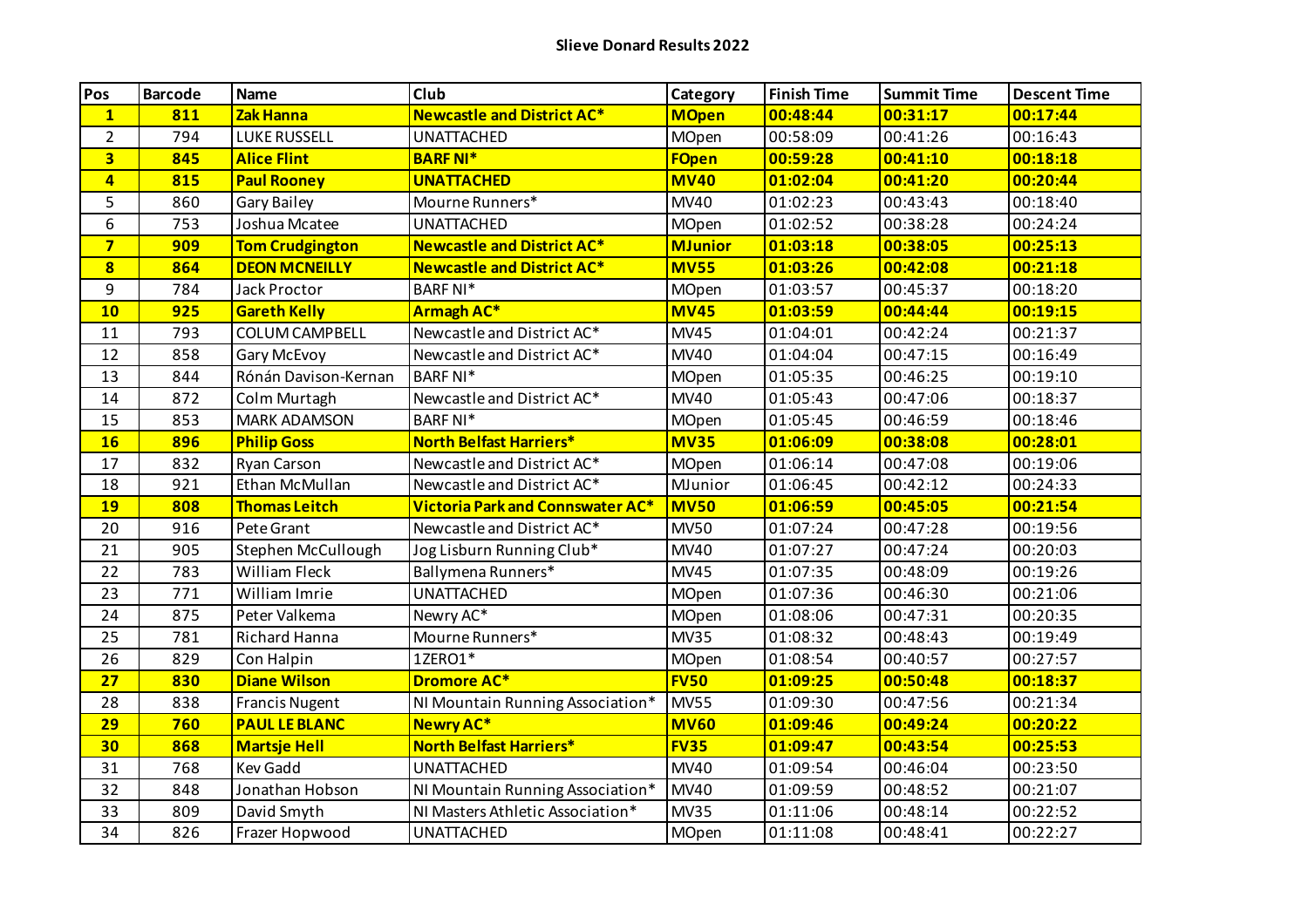| Pos                     | <b>Barcode</b> | <b>Name</b>            | Club                                    | Category       | <b>Finish Time</b> | <b>Summit Time</b> | <b>Descent Time</b> |
|-------------------------|----------------|------------------------|-----------------------------------------|----------------|--------------------|--------------------|---------------------|
| $\mathbf{1}$            | 811            | Zak Hanna              | <b>Newcastle and District AC*</b>       | <b>MOpen</b>   | 00:48:44           | 00:31:17           | 00:17:44            |
| $\overline{2}$          | 794            | <b>LUKE RUSSELL</b>    | <b>UNATTACHED</b>                       | MOpen          | 00:58:09           | 00:41:26           | 00:16:43            |
| $\overline{\mathbf{3}}$ | 845            | <b>Alice Flint</b>     | <b>BARF NI*</b>                         | <b>FOpen</b>   | 00:59:28           | 00:41:10           | 00:18:18            |
| $\overline{\mathbf{4}}$ | 815            | <b>Paul Rooney</b>     | <b>UNATTACHED</b>                       | <b>MV40</b>    | 01:02:04           | 00:41:20           | 00:20:44            |
| 5                       | 860            | <b>Gary Bailey</b>     | Mourne Runners*                         | <b>MV40</b>    | 01:02:23           | 00:43:43           | 00:18:40            |
| 6                       | 753            | Joshua Mcatee          | <b>UNATTACHED</b>                       | MOpen          | 01:02:52           | 00:38:28           | 00:24:24            |
| $\overline{7}$          | 909            | <b>Tom Crudgington</b> | <b>Newcastle and District AC*</b>       | <b>MJunior</b> | 01:03:18           | 00:38:05           | 00:25:13            |
| 8                       | 864            | <b>DEON MCNEILLY</b>   | <b>Newcastle and District AC*</b>       | <b>MV55</b>    | 01:03:26           | 00:42:08           | 00:21:18            |
| 9                       | 784            | <b>Jack Proctor</b>    | <b>BARF NI*</b>                         | <b>MOpen</b>   | 01:03:57           | 00:45:37           | 00:18:20            |
| 10                      | 925            | <b>Gareth Kelly</b>    | <b>Armagh AC*</b>                       | <b>MV45</b>    | 01:03:59           | 00:44:44           | 00:19:15            |
| 11                      | 793            | <b>COLUM CAMPBELL</b>  | Newcastle and District AC*              | <b>MV45</b>    | 01:04:01           | 00:42:24           | 00:21:37            |
| 12                      | 858            | Gary McEvoy            | Newcastle and District AC*              | <b>MV40</b>    | 01:04:04           | 00:47:15           | 00:16:49            |
| 13                      | 844            | Rónán Davison-Kernan   | <b>BARF NI*</b>                         | MOpen          | 01:05:35           | 00:46:25           | 00:19:10            |
| 14                      | 872            | Colm Murtagh           | Newcastle and District AC*              | <b>MV40</b>    | 01:05:43           | 00:47:06           | 00:18:37            |
| 15                      | 853            | <b>MARK ADAMSON</b>    | <b>BARF NI*</b>                         | MOpen          | 01:05:45           | 00:46:59           | 00:18:46            |
| 16                      | 896            | <b>Philip Goss</b>     | <b>North Belfast Harriers*</b>          | <b>MV35</b>    | 01:06:09           | 00:38:08           | 00:28:01            |
| 17                      | 832            | Ryan Carson            | Newcastle and District AC*              | MOpen          | 01:06:14           | 00:47:08           | 00:19:06            |
| 18                      | 921            | Ethan McMullan         | Newcastle and District AC*              | MJunior        | 01:06:45           | 00:42:12           | 00:24:33            |
| <b>19</b>               | 808            | <b>Thomas Leitch</b>   | <b>Victoria Park and Connswater AC*</b> | <b>MV50</b>    | 01:06:59           | 00:45:05           | 00:21:54            |
| 20                      | 916            | Pete Grant             | Newcastle and District AC*              | <b>MV50</b>    | 01:07:24           | 00:47:28           | 00:19:56            |
| 21                      | 905            | Stephen McCullough     | Jog Lisburn Running Club*               | <b>MV40</b>    | 01:07:27           | 00:47:24           | 00:20:03            |
| 22                      | 783            | William Fleck          | Ballymena Runners*                      | <b>MV45</b>    | 01:07:35           | 00:48:09           | 00:19:26            |
| 23                      | 771            | William Imrie          | <b>UNATTACHED</b>                       | <b>MOpen</b>   | 01:07:36           | 00:46:30           | 00:21:06            |
| 24                      | 875            | Peter Valkema          | Newry AC*                               | MOpen          | 01:08:06           | 00:47:31           | 00:20:35            |
| 25                      | 781            | Richard Hanna          | Mourne Runners*                         | <b>MV35</b>    | 01:08:32           | 00:48:43           | 00:19:49            |
| 26                      | 829            | Con Halpin             | 1ZERO1*                                 | MOpen          | 01:08:54           | 00:40:57           | 00:27:57            |
| 27                      | 830            | <b>Diane Wilson</b>    | <b>Dromore AC*</b>                      | <b>FV50</b>    | 01:09:25           | 00:50:48           | 00:18:37            |
| 28                      | 838            | <b>Francis Nugent</b>  | NI Mountain Running Association*        | <b>MV55</b>    | 01:09:30           | 00:47:56           | 00:21:34            |
| 29                      | 760            | <b>PAUL LE BLANC</b>   | <b>Newry AC*</b>                        | <b>MV60</b>    | 01:09:46           | 00:49:24           | 00:20:22            |
| 30                      | 868            | <b>Martsje Hell</b>    | <b>North Belfast Harriers*</b>          | <b>FV35</b>    | 01:09:47           | 00:43:54           | 00:25:53            |
| 31                      | 768            | <b>Kev Gadd</b>        | <b>UNATTACHED</b>                       | <b>MV40</b>    | 01:09:54           | 00:46:04           | 00:23:50            |
| 32                      | 848            | Jonathan Hobson        | NI Mountain Running Association*        | <b>MV40</b>    | 01:09:59           | 00:48:52           | 00:21:07            |
| 33                      | 809            | David Smyth            | NI Masters Athletic Association*        | <b>MV35</b>    | 01:11:06           | 00:48:14           | 00:22:52            |
| 34                      | 826            | Frazer Hopwood         | <b>UNATTACHED</b>                       | MOpen          | 01:11:08           | 00:48:41           | 00:22:27            |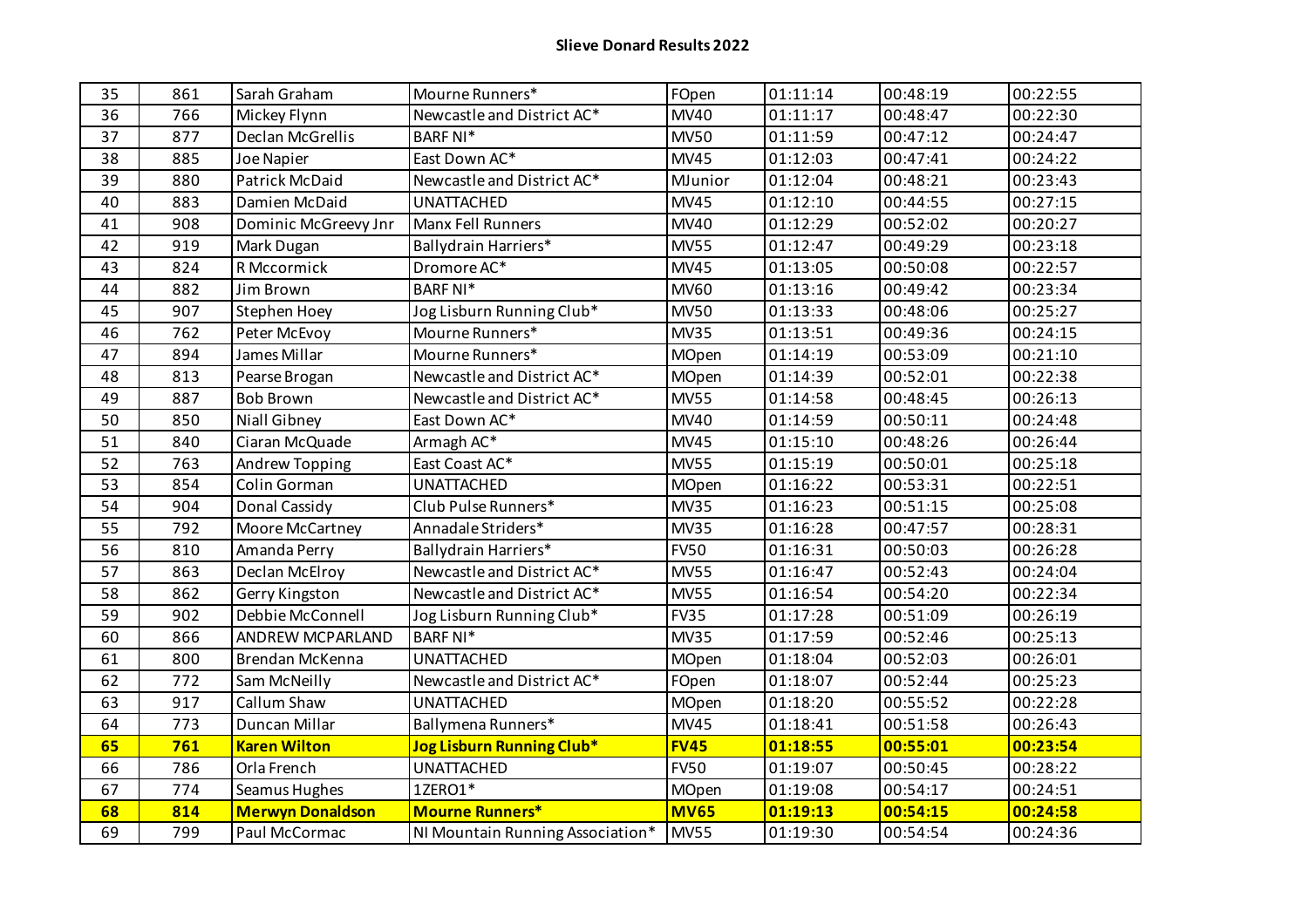| 35 | 861 | Sarah Graham            | Mourne Runners*                  | FOpen       | 01:11:14               | 00:48:19 | 00:22:55 |
|----|-----|-------------------------|----------------------------------|-------------|------------------------|----------|----------|
| 36 | 766 | Mickey Flynn            | Newcastle and District AC*       | <b>MV40</b> | 01:11:17               | 00:48:47 | 00:22:30 |
| 37 | 877 | Declan McGrellis        | <b>BARF NI*</b>                  | <b>MV50</b> | $\overline{0}$ 1:11:59 | 00:47:12 | 00:24:47 |
| 38 | 885 | <b>Joe Napier</b>       | East Down AC*                    | <b>MV45</b> | 01:12:03               | 00:47:41 | 00:24:22 |
| 39 | 880 | Patrick McDaid          | Newcastle and District AC*       | MJunior     | 01:12:04               | 00:48:21 | 00:23:43 |
| 40 | 883 | Damien McDaid           | <b>UNATTACHED</b>                | <b>MV45</b> | 01:12:10               | 00:44:55 | 00:27:15 |
| 41 | 908 | Dominic McGreevy Jnr    | Manx Fell Runners                | <b>MV40</b> | 01:12:29               | 00:52:02 | 00:20:27 |
| 42 | 919 | Mark Dugan              | Ballydrain Harriers*             | <b>MV55</b> | 01:12:47               | 00:49:29 | 00:23:18 |
| 43 | 824 | R Mccormick             | Dromore AC*                      | <b>MV45</b> | 01:13:05               | 00:50:08 | 00:22:57 |
| 44 | 882 | Jim Brown               | <b>BARF NI*</b>                  | <b>MV60</b> | 01:13:16               | 00:49:42 | 00:23:34 |
| 45 | 907 | Stephen Hoey            | Jog Lisburn Running Club*        | <b>MV50</b> | 01:13:33               | 00:48:06 | 00:25:27 |
| 46 | 762 | Peter McEvoy            | Mourne Runners*                  | <b>MV35</b> | 01:13:51               | 00:49:36 | 00:24:15 |
| 47 | 894 | James Millar            | Mourne Runners*                  | MOpen       | 01:14:19               | 00:53:09 | 00:21:10 |
| 48 | 813 | Pearse Brogan           | Newcastle and District AC*       | MOpen       | 01:14:39               | 00:52:01 | 00:22:38 |
| 49 | 887 | <b>Bob Brown</b>        | Newcastle and District AC*       | <b>MV55</b> | 01:14:58               | 00:48:45 | 00:26:13 |
| 50 | 850 | Niall Gibney            | East Down AC*                    | <b>MV40</b> | 01:14:59               | 00:50:11 | 00:24:48 |
| 51 | 840 | Ciaran McQuade          | Armagh AC*                       | <b>MV45</b> | 01:15:10               | 00:48:26 | 00:26:44 |
| 52 | 763 | Andrew Topping          | East Coast AC*                   | <b>MV55</b> | 01:15:19               | 00:50:01 | 00:25:18 |
| 53 | 854 | Colin Gorman            | <b>UNATTACHED</b>                | MOpen       | 01:16:22               | 00:53:31 | 00:22:51 |
| 54 | 904 | Donal Cassidy           | Club Pulse Runners*              | <b>MV35</b> | 01:16:23               | 00:51:15 | 00:25:08 |
| 55 | 792 | Moore McCartney         | Annadale Striders*               | <b>MV35</b> | 01:16:28               | 00:47:57 | 00:28:31 |
| 56 | 810 | Amanda Perry            | Ballydrain Harriers*             | <b>FV50</b> | 01:16:31               | 00:50:03 | 00:26:28 |
| 57 | 863 | Declan McElroy          | Newcastle and District AC*       | <b>MV55</b> | 01:16:47               | 00:52:43 | 00:24:04 |
| 58 | 862 | Gerry Kingston          | Newcastle and District AC*       | <b>MV55</b> | 01:16:54               | 00:54:20 | 00:22:34 |
| 59 | 902 | Debbie McConnell        | Jog Lisburn Running Club*        | <b>FV35</b> | 01:17:28               | 00:51:09 | 00:26:19 |
| 60 | 866 | <b>ANDREW MCPARLAND</b> | <b>BARF NI*</b>                  | <b>MV35</b> | 01:17:59               | 00:52:46 | 00:25:13 |
| 61 | 800 | Brendan McKenna         | <b>UNATTACHED</b>                | MOpen       | 01:18:04               | 00:52:03 | 00:26:01 |
| 62 | 772 | Sam McNeilly            | Newcastle and District AC*       | FOpen       | 01:18:07               | 00:52:44 | 00:25:23 |
| 63 | 917 | Callum Shaw             | <b>UNATTACHED</b>                | MOpen       | 01:18:20               | 00:55:52 | 00:22:28 |
| 64 | 773 | Duncan Millar           | Ballymena Runners*               | <b>MV45</b> | 01:18:41               | 00:51:58 | 00:26:43 |
| 65 | 761 | <b>Karen Wilton</b>     | Jog Lisburn Running Club*        | <b>FV45</b> | 01:18:55               | 00:55:01 | 00:23:54 |
| 66 | 786 | Orla French             | <b>UNATTACHED</b>                | <b>FV50</b> | 01:19:07               | 00:50:45 | 00:28:22 |
| 67 | 774 | Seamus Hughes           | 1ZERO1*                          | MOpen       | 01:19:08               | 00:54:17 | 00:24:51 |
| 68 | 814 | <b>Merwyn Donaldson</b> | <b>Mourne Runners*</b>           | <b>MV65</b> | 01:19:13               | 00:54:15 | 00:24:58 |
| 69 | 799 | Paul McCormac           | NI Mountain Running Association* | <b>MV55</b> | 01:19:30               | 00:54:54 | 00:24:36 |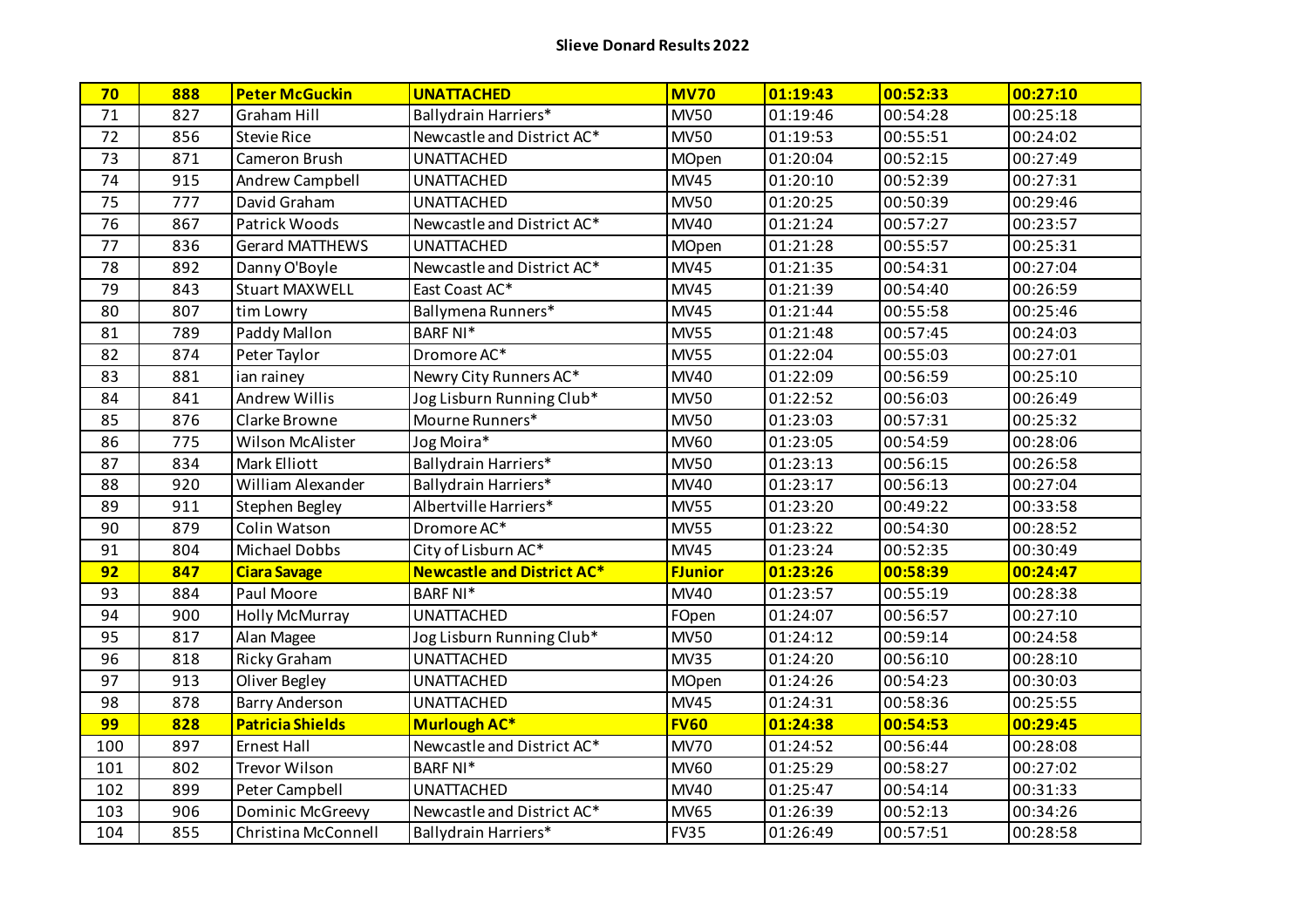| 70  | 888 | <b>Peter McGuckin</b>   | <b>UNATTACHED</b>                 | <b>MV70</b>    | 01:19:43 | 00:52:33 | 00:27:10 |
|-----|-----|-------------------------|-----------------------------------|----------------|----------|----------|----------|
| 71  | 827 | <b>Graham Hill</b>      | Ballydrain Harriers*              | <b>MV50</b>    | 01:19:46 | 00:54:28 | 00:25:18 |
| 72  | 856 | <b>Stevie Rice</b>      | Newcastle and District AC*        | <b>MV50</b>    | 01:19:53 | 00:55:51 | 00:24:02 |
| 73  | 871 | Cameron Brush           | <b>UNATTACHED</b>                 | MOpen          | 01:20:04 | 00:52:15 | 00:27:49 |
| 74  | 915 | Andrew Campbell         | <b>UNATTACHED</b>                 | <b>MV45</b>    | 01:20:10 | 00:52:39 | 00:27:31 |
| 75  | 777 | David Graham            | <b>UNATTACHED</b>                 | <b>MV50</b>    | 01:20:25 | 00:50:39 | 00:29:46 |
| 76  | 867 | Patrick Woods           | Newcastle and District AC*        | MV40           | 01:21:24 | 00:57:27 | 00:23:57 |
| 77  | 836 | <b>Gerard MATTHEWS</b>  | <b>UNATTACHED</b>                 | MOpen          | 01:21:28 | 00:55:57 | 00:25:31 |
| 78  | 892 | Danny O'Boyle           | Newcastle and District AC*        | <b>MV45</b>    | 01:21:35 | 00:54:31 | 00:27:04 |
| 79  | 843 | <b>Stuart MAXWELL</b>   | East Coast AC*                    | <b>MV45</b>    | 01:21:39 | 00:54:40 | 00:26:59 |
| 80  | 807 | tim Lowry               | Ballymena Runners*                | <b>MV45</b>    | 01:21:44 | 00:55:58 | 00:25:46 |
| 81  | 789 | Paddy Mallon            | <b>BARF NI*</b>                   | <b>MV55</b>    | 01:21:48 | 00:57:45 | 00:24:03 |
| 82  | 874 | Peter Taylor            | Dromore AC <sup>*</sup>           | <b>MV55</b>    | 01:22:04 | 00:55:03 | 00:27:01 |
| 83  | 881 | ian rainey              | Newry City Runners AC*            | <b>MV40</b>    | 01:22:09 | 00:56:59 | 00:25:10 |
| 84  | 841 | <b>Andrew Willis</b>    | Jog Lisburn Running Club*         | <b>MV50</b>    | 01:22:52 | 00:56:03 | 00:26:49 |
| 85  | 876 | Clarke Browne           | Mourne Runners*                   | <b>MV50</b>    | 01:23:03 | 00:57:31 | 00:25:32 |
| 86  | 775 | Wilson McAlister        | Jog Moira*                        | <b>MV60</b>    | 01:23:05 | 00:54:59 | 00:28:06 |
| 87  | 834 | <b>Mark Elliott</b>     | Ballydrain Harriers*              | <b>MV50</b>    | 01:23:13 | 00:56:15 | 00:26:58 |
| 88  | 920 | William Alexander       | Ballydrain Harriers*              | MV40           | 01:23:17 | 00:56:13 | 00:27:04 |
| 89  | 911 | <b>Stephen Begley</b>   | Albertville Harriers*             | <b>MV55</b>    | 01:23:20 | 00:49:22 | 00:33:58 |
| 90  | 879 | Colin Watson            | Dromore AC*                       | <b>MV55</b>    | 01:23:22 | 00:54:30 | 00:28:52 |
| 91  | 804 | Michael Dobbs           | City of Lisburn AC*               | <b>MV45</b>    | 01:23:24 | 00:52:35 | 00:30:49 |
| 92  | 847 | <b>Ciara Savage</b>     | <b>Newcastle and District AC*</b> | <b>FJunior</b> | 01:23:26 | 00:58:39 | 00:24:47 |
| 93  | 884 | Paul Moore              | <b>BARF NI*</b>                   | MV40           | 01:23:57 | 00:55:19 | 00:28:38 |
| 94  | 900 | <b>Holly McMurray</b>   | <b>UNATTACHED</b>                 | FOpen          | 01:24:07 | 00:56:57 | 00:27:10 |
| 95  | 817 | Alan Magee              | Jog Lisburn Running Club*         | <b>MV50</b>    | 01:24:12 | 00:59:14 | 00:24:58 |
| 96  | 818 | <b>Ricky Graham</b>     | <b>UNATTACHED</b>                 | <b>MV35</b>    | 01:24:20 | 00:56:10 | 00:28:10 |
| 97  | 913 | Oliver Begley           | <b>UNATTACHED</b>                 | MOpen          | 01:24:26 | 00:54:23 | 00:30:03 |
| 98  | 878 | Barry Anderson          | <b>UNATTACHED</b>                 | <b>MV45</b>    | 01:24:31 | 00:58:36 | 00:25:55 |
| 99  | 828 | <b>Patricia Shields</b> | <b>Murlough AC*</b>               | <b>FV60</b>    | 01:24:38 | 00:54:53 | 00:29:45 |
| 100 | 897 | <b>Ernest Hall</b>      | Newcastle and District AC*        | <b>MV70</b>    | 01:24:52 | 00:56:44 | 00:28:08 |
| 101 | 802 | Trevor Wilson           | <b>BARF NI*</b>                   | <b>MV60</b>    | 01:25:29 | 00:58:27 | 00:27:02 |
| 102 | 899 | Peter Campbell          | <b>UNATTACHED</b>                 | <b>MV40</b>    | 01:25:47 | 00:54:14 | 00:31:33 |
| 103 | 906 | Dominic McGreevy        | Newcastle and District AC*        | <b>MV65</b>    | 01:26:39 | 00:52:13 | 00:34:26 |
| 104 | 855 | Christina McConnell     | <b>Ballydrain Harriers*</b>       | <b>FV35</b>    | 01:26:49 | 00:57:51 | 00:28:58 |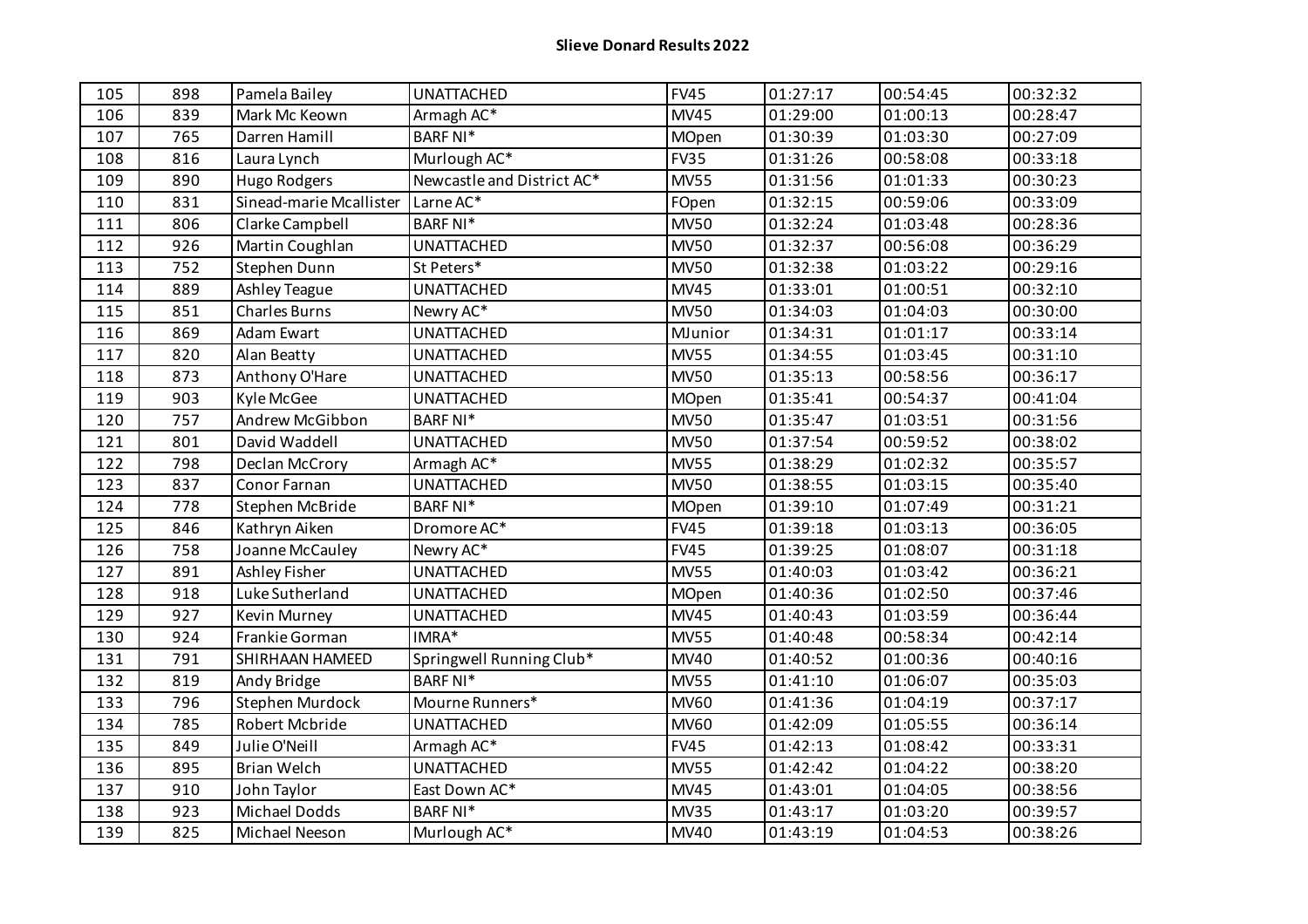| 105 | 898 | Pamela Bailey           | <b>UNATTACHED</b>          | <b>FV45</b>  | 01:27:17 | 00:54:45 | 00:32:32 |
|-----|-----|-------------------------|----------------------------|--------------|----------|----------|----------|
| 106 | 839 | Mark Mc Keown           | Armagh AC*                 | <b>MV45</b>  | 01:29:00 | 01:00:13 | 00:28:47 |
| 107 | 765 | Darren Hamill           | <b>BARF NI*</b>            | MOpen        | 01:30:39 | 01:03:30 | 00:27:09 |
| 108 | 816 | Laura Lynch             | Murlough AC*               | <b>FV35</b>  | 01:31:26 | 00:58:08 | 00:33:18 |
| 109 | 890 | Hugo Rodgers            | Newcastle and District AC* | <b>MV55</b>  | 01:31:56 | 01:01:33 | 00:30:23 |
| 110 | 831 | Sinead-marie Mcallister | Larne AC*                  | FOpen        | 01:32:15 | 00:59:06 | 00:33:09 |
| 111 | 806 | Clarke Campbell         | <b>BARF NI*</b>            | <b>MV50</b>  | 01:32:24 | 01:03:48 | 00:28:36 |
| 112 | 926 | Martin Coughlan         | <b>UNATTACHED</b>          | <b>MV50</b>  | 01:32:37 | 00:56:08 | 00:36:29 |
| 113 | 752 | Stephen Dunn            | St Peters*                 | <b>MV50</b>  | 01:32:38 | 01:03:22 | 00:29:16 |
| 114 | 889 | Ashley Teague           | <b>UNATTACHED</b>          | <b>MV45</b>  | 01:33:01 | 01:00:51 | 00:32:10 |
| 115 | 851 | <b>Charles Burns</b>    | Newry AC*                  | <b>MV50</b>  | 01:34:03 | 01:04:03 | 00:30:00 |
| 116 | 869 | Adam Ewart              | <b>UNATTACHED</b>          | MJunior      | 01:34:31 | 01:01:17 | 00:33:14 |
| 117 | 820 | Alan Beatty             | <b>UNATTACHED</b>          | <b>MV55</b>  | 01:34:55 | 01:03:45 | 00:31:10 |
| 118 | 873 | Anthony O'Hare          | <b>UNATTACHED</b>          | <b>MV50</b>  | 01:35:13 | 00:58:56 | 00:36:17 |
| 119 | 903 | Kyle McGee              | <b>UNATTACHED</b>          | MOpen        | 01:35:41 | 00:54:37 | 00:41:04 |
| 120 | 757 | Andrew McGibbon         | <b>BARF NI*</b>            | <b>MV50</b>  | 01:35:47 | 01:03:51 | 00:31:56 |
| 121 | 801 | David Waddell           | <b>UNATTACHED</b>          | <b>MV50</b>  | 01:37:54 | 00:59:52 | 00:38:02 |
| 122 | 798 | Declan McCrory          | Armagh AC*                 | <b>MV55</b>  | 01:38:29 | 01:02:32 | 00:35:57 |
| 123 | 837 | Conor Farnan            | <b>UNATTACHED</b>          | <b>MV50</b>  | 01:38:55 | 01:03:15 | 00:35:40 |
| 124 | 778 | Stephen McBride         | <b>BARF NI*</b>            | MOpen        | 01:39:10 | 01:07:49 | 00:31:21 |
| 125 | 846 | Kathryn Aiken           | Dromore AC*                | <b>FV45</b>  | 01:39:18 | 01:03:13 | 00:36:05 |
| 126 | 758 | Joanne McCauley         | Newry AC*                  | <b>FV45</b>  | 01:39:25 | 01:08:07 | 00:31:18 |
| 127 | 891 | Ashley Fisher           | <b>UNATTACHED</b>          | <b>MV55</b>  | 01:40:03 | 01:03:42 | 00:36:21 |
| 128 | 918 | Luke Sutherland         | <b>UNATTACHED</b>          | <b>MOpen</b> | 01:40:36 | 01:02:50 | 00:37:46 |
| 129 | 927 | Kevin Murney            | <b>UNATTACHED</b>          | <b>MV45</b>  | 01:40:43 | 01:03:59 | 00:36:44 |
| 130 | 924 | Frankie Gorman          | IMRA*                      | <b>MV55</b>  | 01:40:48 | 00:58:34 | 00:42:14 |
| 131 | 791 | SHIRHAAN HAMEED         | Springwell Running Club*   | <b>MV40</b>  | 01:40:52 | 01:00:36 | 00:40:16 |
| 132 | 819 | Andy Bridge             | <b>BARF NI*</b>            | <b>MV55</b>  | 01:41:10 | 01:06:07 | 00:35:03 |
| 133 | 796 | Stephen Murdock         | Mourne Runners*            | <b>MV60</b>  | 01:41:36 | 01:04:19 | 00:37:17 |
| 134 | 785 | Robert Mcbride          | <b>UNATTACHED</b>          | <b>MV60</b>  | 01:42:09 | 01:05:55 | 00:36:14 |
| 135 | 849 | Julie O'Neill           | Armagh AC*                 | <b>FV45</b>  | 01:42:13 | 01:08:42 | 00:33:31 |
| 136 | 895 | Brian Welch             | <b>UNATTACHED</b>          | <b>MV55</b>  | 01:42:42 | 01:04:22 | 00:38:20 |
| 137 | 910 | John Taylor             | East Down AC*              | <b>MV45</b>  | 01:43:01 | 01:04:05 | 00:38:56 |
| 138 | 923 | Michael Dodds           | <b>BARF NI*</b>            | <b>MV35</b>  | 01:43:17 | 01:03:20 | 00:39:57 |
| 139 | 825 | Michael Neeson          | Murlough AC*               | <b>MV40</b>  | 01:43:19 | 01:04:53 | 00:38:26 |